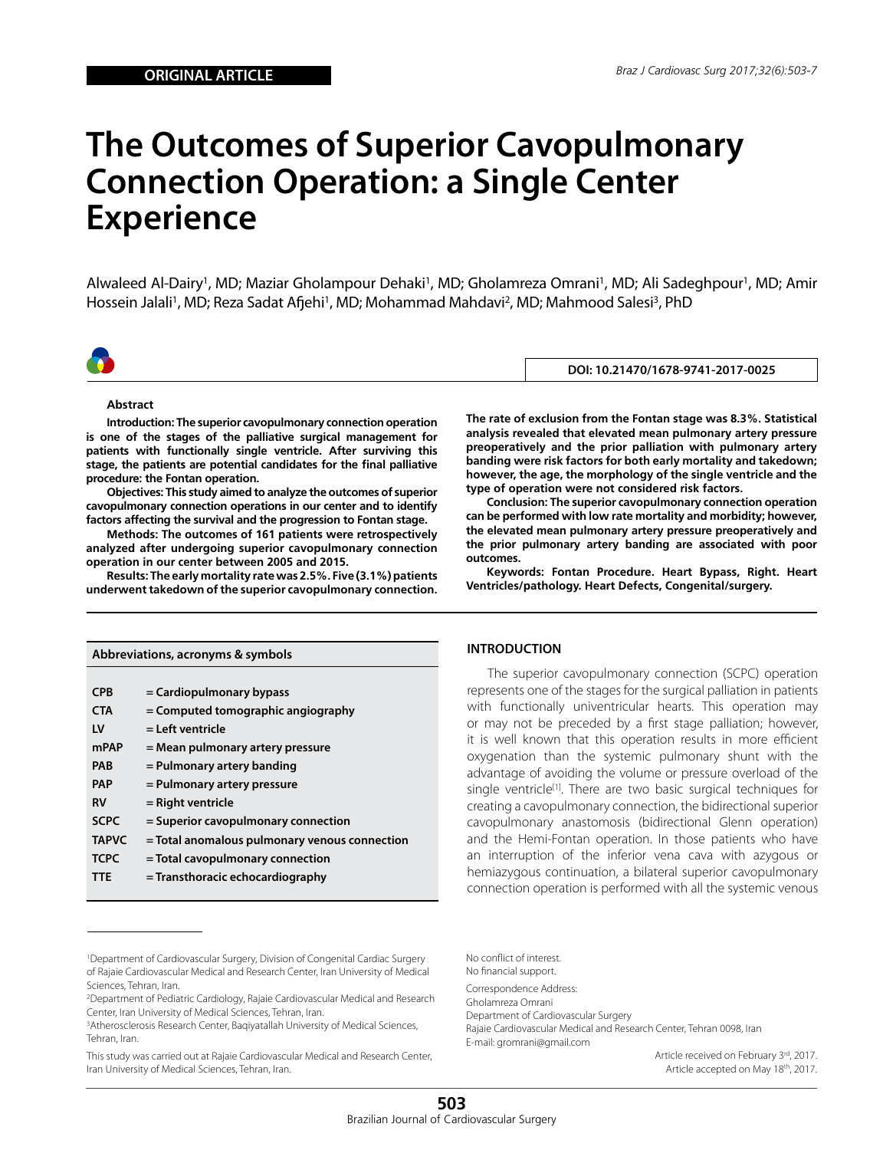# **The Outcomes of Superior Cavopulmonary Connection Operation: a Single Center Experience**

Alwaleed Al-Dairy<sup>1</sup>, MD; Maziar Gholampour Dehaki<sup>1</sup>, MD; Gholamreza Omrani<sup>1</sup>, MD; Ali Sadeghpour<sup>1</sup>, MD; Amir Hossein Jalali<sup>1</sup>, MD; Reza Sadat Afjehi<sup>1</sup>, MD; Mohammad Mahdavi<sup>2</sup>, MD; Mahmood Salesi<sup>3</sup>, PhD



**DOI: 10.21470/1678-9741-2017-0025**

#### **Abstract**

**Introduction: The superior cavopulmonary connection operation is one of the stages of the palliative surgical management for patients with functionally single ventricle. After surviving this stage, the patients are potential candidates for the final palliative procedure: the Fontan operation.**

**Objectives: This study aimed to analyze the outcomes of superior cavopulmonary connection operations in our center and to identify factors affecting the survival and the progression to Fontan stage.**

**Methods: The outcomes of 161 patients were retrospectively analyzed after undergoing superior cavopulmonary connection operation in our center between 2005 and 2015.**

**Results: The early mortality rate was 2.5%. Five (3.1%) patients underwent takedown of the superior cavopulmonary connection.** 

| Abbreviations, acronyms & symbols |                                               |  |  |
|-----------------------------------|-----------------------------------------------|--|--|
|                                   |                                               |  |  |
| <b>CPB</b>                        | = Cardiopulmonary bypass                      |  |  |
| <b>CTA</b>                        | $=$ Computed tomographic angiography          |  |  |
| LV                                | = Left ventricle                              |  |  |
| <b>mPAP</b>                       | = Mean pulmonary artery pressure              |  |  |
| PAB                               | = Pulmonary artery banding                    |  |  |
| <b>PAP</b>                        | = Pulmonary artery pressure                   |  |  |
| RV                                | = Right ventricle                             |  |  |
| <b>SCPC</b>                       | = Superior cavopulmonary connection           |  |  |
| <b>TAPVC</b>                      | = Total anomalous pulmonary venous connection |  |  |
| <b>TCPC</b>                       | = Total cavopulmonary connection              |  |  |
| TTE                               | = Transthoracic echocardiography              |  |  |

**The rate of exclusion from the Fontan stage was 8.3%. Statistical analysis revealed that elevated mean pulmonary artery pressure preoperatively and the prior palliation with pulmonary artery banding were risk factors for both early mortality and takedown; however, the age, the morphology of the single ventricle and the type of operation were not considered risk factors.**

**Conclusion: The superior cavopulmonary connection operation can be performed with low rate mortality and morbidity; however, the elevated mean pulmonary artery pressure preoperatively and the prior pulmonary artery banding are associated with poor outcomes.**

**Keywords: Fontan Procedure. Heart Bypass, Right. Heart Ventricles/pathology. Heart Defects, Congenital/surgery.**

#### **INTRODUCTION**

The superior cavopulmonary connection (SCPC) operation represents one of the stages for the surgical palliation in patients with functionally univentricular hearts. This operation may or may not be preceded by a first stage palliation; however, it is well known that this operation results in more efficient oxygenation than the systemic pulmonary shunt with the advantage of avoiding the volume or pressure overload of the single ventricle<sup>[1]</sup>. There are two basic surgical techniques for creating a cavopulmonary connection, the bidirectional superior cavopulmonary anastomosis (bidirectional Glenn operation) and the Hemi-Fontan operation. In those patients who have an interruption of the inferior vena cava with azygous or hemiazygous continuation, a bilateral superior cavopulmonary connection operation is performed with all the systemic venous

This study was carried out at Rajaie Cardiovascular Medical and Research Center, Iran University of Medical Sciences, Tehran, Iran.

No conflict of interest. No financial support.

Correspondence Address: Gholamreza Omrani Department of Cardiovascular Surgery Rajaie Cardiovascular Medical and Research Center, Tehran 0098, Iran E-mail: gromrani@gmail.com

> Article received on February 3rd, 2017. Article accepted on May 18th, 2017.

<sup>1</sup>Department of Cardiovascular Surgery, Division of Congenital Cardiac Surgery of Rajaie Cardiovascular Medical and Research Center, Iran University of Medical Sciences, Tehran, Iran.

<sup>2</sup>Department of Pediatric Cardiology, Rajaie Cardiovascular Medical and Research Center, Iran University of Medical Sciences, Tehran, Iran.

<sup>&</sup>lt;sup>3</sup>Atherosclerosis Research Center, Baqiyatallah University of Medical Sciences, Tehran, Iran.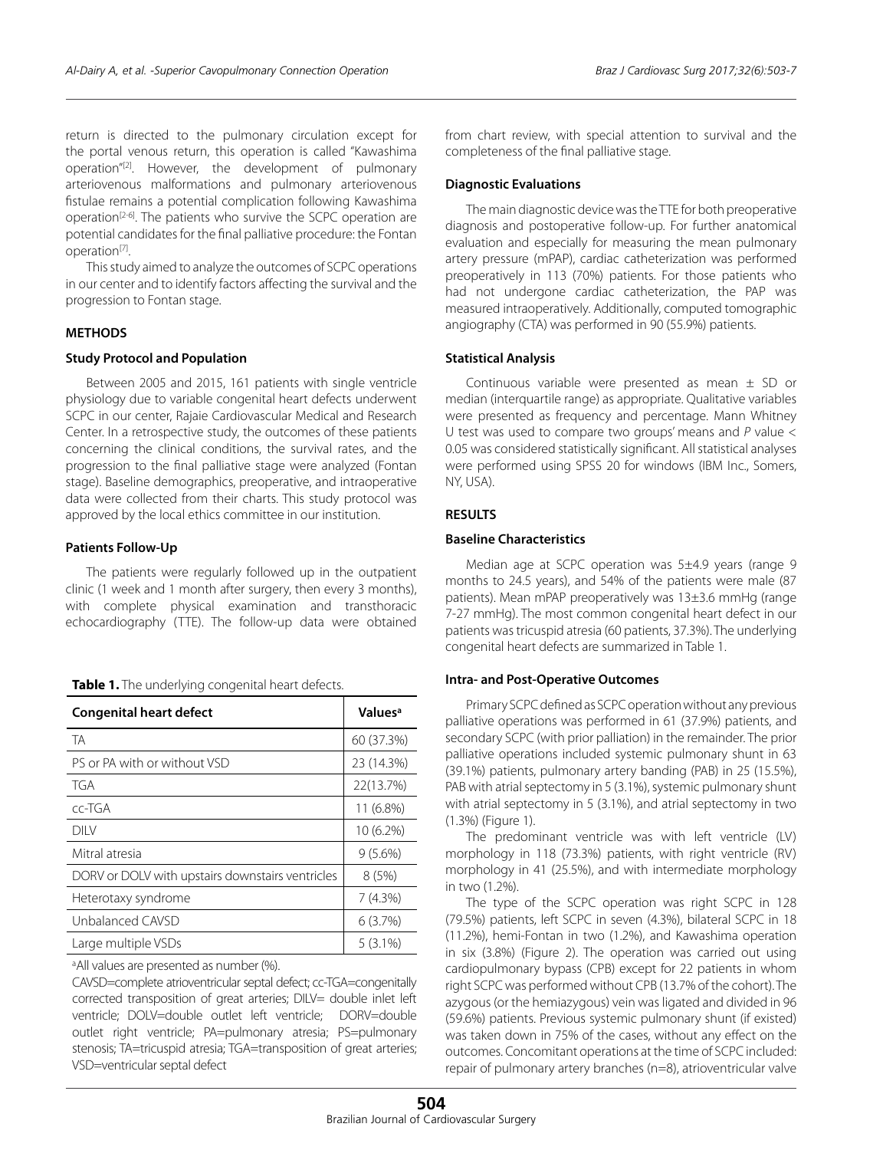return is directed to the pulmonary circulation except for the portal venous return, this operation is called "Kawashima operation"[2]. However, the development of pulmonary arteriovenous malformations and pulmonary arteriovenous fistulae remains a potential complication following Kawashima operation[2-6]. The patients who survive the SCPC operation are potential candidates for the final palliative procedure: the Fontan operation[7].

This study aimed to analyze the outcomes of SCPC operations in our center and to identify factors affecting the survival and the progression to Fontan stage.

### **METHODS**

#### **Study Protocol and Population**

Between 2005 and 2015, 161 patients with single ventricle physiology due to variable congenital heart defects underwent SCPC in our center, Rajaie Cardiovascular Medical and Research Center. In a retrospective study, the outcomes of these patients concerning the clinical conditions, the survival rates, and the progression to the final palliative stage were analyzed (Fontan stage). Baseline demographics, preoperative, and intraoperative data were collected from their charts. This study protocol was approved by the local ethics committee in our institution.

#### **Patients Follow-Up**

The patients were regularly followed up in the outpatient clinic (1 week and 1 month after surgery, then every 3 months), with complete physical examination and transthoracic echocardiography (TTE). The follow-up data were obtained

| Table 1. The underlying congenital heart defects. |  |  |
|---------------------------------------------------|--|--|
|---------------------------------------------------|--|--|

| <b>Congenital heart defect</b>                   | Values <sup>a</sup> |  |
|--------------------------------------------------|---------------------|--|
| TA                                               | 60 (37.3%)          |  |
| PS or PA with or without VSD                     | 23 (14.3%)          |  |
| TGA                                              | 22(13.7%)           |  |
| cc-TGA                                           | 11 (6.8%)           |  |
| <b>DIIV</b>                                      | $10(6.2\%)$         |  |
| Mitral atresia                                   | $9(5.6\%)$          |  |
| DORV or DOLV with upstairs downstairs ventricles | 8(5%)               |  |
| Heterotaxy syndrome                              | 7(4.3%)             |  |
| Unbalanced CAVSD                                 | 6(3.7%)             |  |
| Large multiple VSDs                              | $5(3.1\%)$          |  |

a All values are presented as number (%).

CAVSD=complete atrioventricular septal defect; cc-TGA=congenitally corrected transposition of great arteries; DILV= double inlet left ventricle; DOLV=double outlet left ventricle; DORV=double outlet right ventricle; PA=pulmonary atresia; PS=pulmonary stenosis; TA=tricuspid atresia; TGA=transposition of great arteries; VSD=ventricular septal defect

from chart review, with special attention to survival and the completeness of the final palliative stage.

#### **Diagnostic Evaluations**

The main diagnostic device was the TTE for both preoperative diagnosis and postoperative follow-up. For further anatomical evaluation and especially for measuring the mean pulmonary artery pressure (mPAP), cardiac catheterization was performed preoperatively in 113 (70%) patients. For those patients who had not undergone cardiac catheterization, the PAP was measured intraoperatively. Additionally, computed tomographic angiography (CTA) was performed in 90 (55.9%) patients.

#### **Statistical Analysis**

Continuous variable were presented as mean ± SD or median (interquartile range) as appropriate. Qualitative variables were presented as frequency and percentage. Mann Whitney U test was used to compare two groups' means and *P* value < 0.05 was considered statistically significant. All statistical analyses were performed using SPSS 20 for windows (IBM Inc., Somers, NY, USA).

## **RESULTS**

#### **Baseline Characteristics**

Median age at SCPC operation was 5±4.9 years (range 9 months to 24.5 years), and 54% of the patients were male (87 patients). Mean mPAP preoperatively was 13±3.6 mmHg (range 7-27 mmHg). The most common congenital heart defect in our patients was tricuspid atresia (60 patients, 37.3%). The underlying congenital heart defects are summarized in Table 1.

#### **Intra- and Post-Operative Outcomes**

Primary SCPC defined as SCPC operation without any previous palliative operations was performed in 61 (37.9%) patients, and secondary SCPC (with prior palliation) in the remainder. The prior palliative operations included systemic pulmonary shunt in 63 (39.1%) patients, pulmonary artery banding (PAB) in 25 (15.5%), PAB with atrial septectomy in 5 (3.1%), systemic pulmonary shunt with atrial septectomy in 5 (3.1%), and atrial septectomy in two (1.3%) (Figure 1).

The predominant ventricle was with left ventricle (LV) morphology in 118 (73.3%) patients, with right ventricle (RV) morphology in 41 (25.5%), and with intermediate morphology in two (1.2%).

The type of the SCPC operation was right SCPC in 128 (79.5%) patients, left SCPC in seven (4.3%), bilateral SCPC in 18 (11.2%), hemi-Fontan in two (1.2%), and Kawashima operation in six (3.8%) (Figure 2). The operation was carried out using cardiopulmonary bypass (CPB) except for 22 patients in whom right SCPC was performed without CPB (13.7% of the cohort). The azygous (or the hemiazygous) vein was ligated and divided in 96 (59.6%) patients. Previous systemic pulmonary shunt (if existed) was taken down in 75% of the cases, without any effect on the outcomes. Concomitant operations at the time of SCPC included: repair of pulmonary artery branches (n=8), atrioventricular valve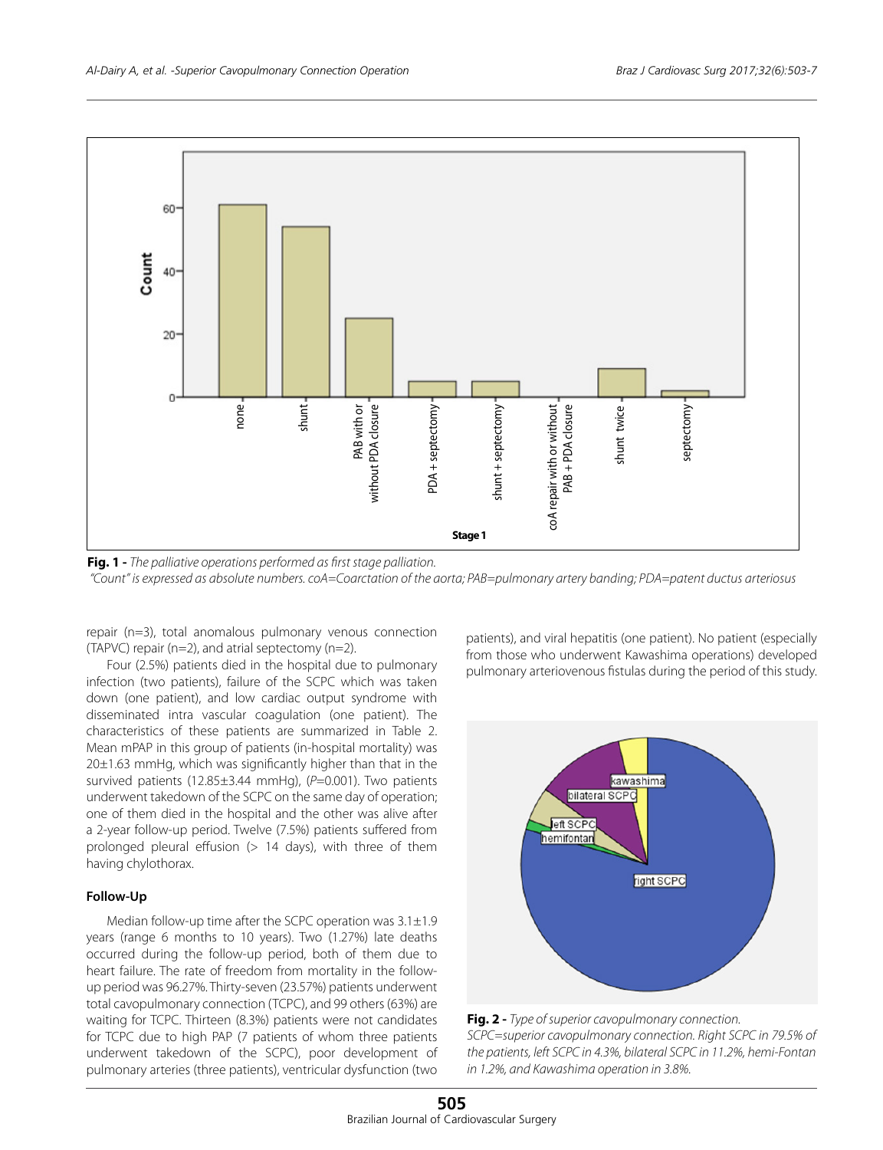

**Fig. 1 -** *The palliative operations performed as first stage palliation. "Count" is expressed as absolute numbers. coA=Coarctation of the aorta; PAB=pulmonary artery banding; PDA=patent ductus arteriosus*

repair (n=3), total anomalous pulmonary venous connection (TAPVC) repair (n=2), and atrial septectomy (n=2).

Four (2.5%) patients died in the hospital due to pulmonary infection (two patients), failure of the SCPC which was taken down (one patient), and low cardiac output syndrome with disseminated intra vascular coagulation (one patient). The characteristics of these patients are summarized in Table 2. Mean mPAP in this group of patients (in-hospital mortality) was  $20±1.63$  mmHg, which was significantly higher than that in the survived patients (12.85±3.44 mmHg), (P=0.001). Two patients underwent takedown of the SCPC on the same day of operation; one of them died in the hospital and the other was alive after a 2-year follow-up period. Twelve (7.5%) patients suffered from prolonged pleural effusion (> 14 days), with three of them having chylothorax.

## **Follow-Up**

Median follow-up time after the SCPC operation was 3.1±1.9 years (range 6 months to 10 years). Two (1.27%) late deaths occurred during the follow-up period, both of them due to heart failure. The rate of freedom from mortality in the followup period was 96.27%. Thirty-seven (23.57%) patients underwent total cavopulmonary connection (TCPC), and 99 others (63%) are waiting for TCPC. Thirteen (8.3%) patients were not candidates for TCPC due to high PAP (7 patients of whom three patients underwent takedown of the SCPC), poor development of pulmonary arteries (three patients), ventricular dysfunction (two patients), and viral hepatitis (one patient). No patient (especially from those who underwent Kawashima operations) developed pulmonary arteriovenous fistulas during the period of this study.



**Fig. 2 -** *Type of superior cavopulmonary connection. SCPC=superior cavopulmonary connection. Right SCPC in 79.5% of the patients, left SCPC in 4.3%, bilateral SCPC in 11.2%, hemi-Fontan in 1.2%, and Kawashima operation in 3.8%.*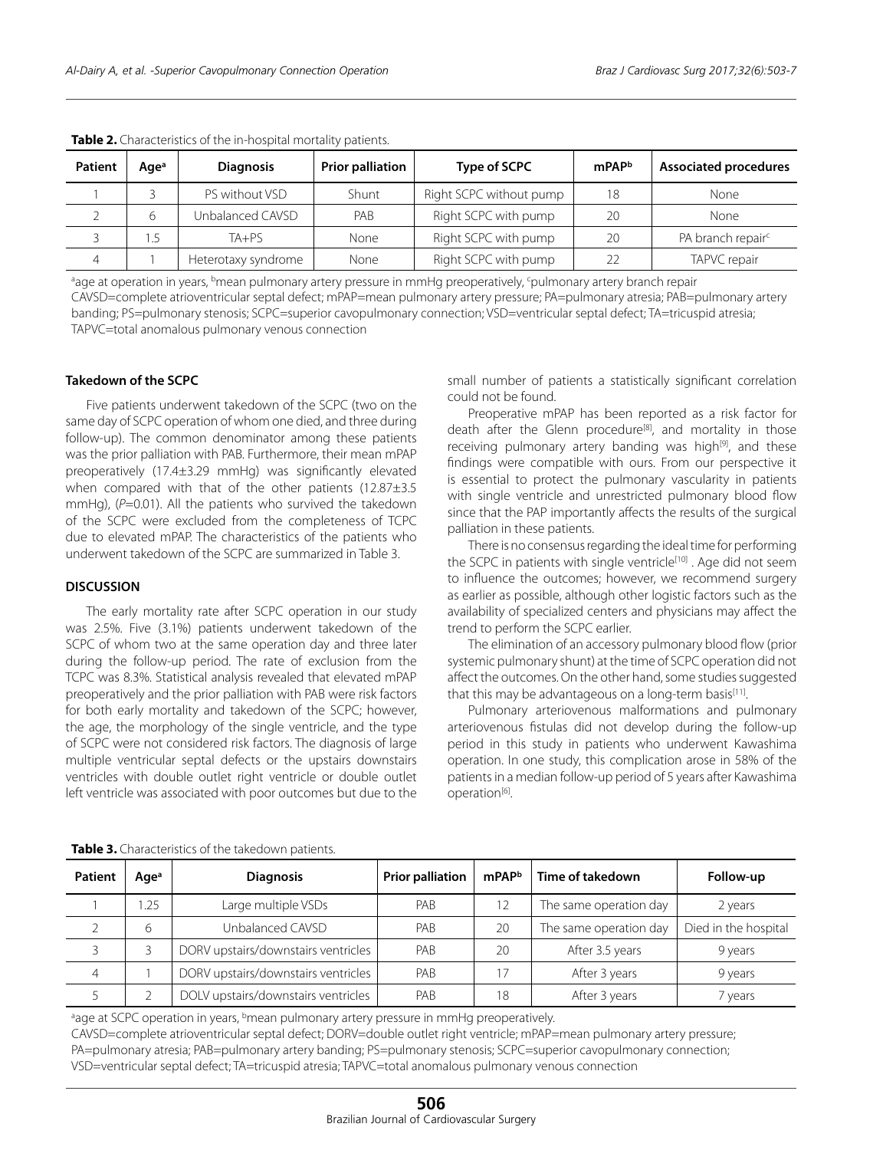| Patient | Age <sup>a</sup> | <b>Diagnosis</b>    | <b>Prior palliation</b> | Type of SCPC            | mPAP <sup>b</sup> | <b>Associated procedures</b>  |
|---------|------------------|---------------------|-------------------------|-------------------------|-------------------|-------------------------------|
|         |                  | PS without VSD      | Shunt                   | Right SCPC without pump | 18                | <b>None</b>                   |
|         | 6                | Unbalanced CAVSD    | PAB                     | Right SCPC with pump    | 20                | None                          |
|         | .5               | $TA+PS$             | None                    | Right SCPC with pump    | 20                | PA branch repair <sup>c</sup> |
|         |                  | Heterotaxy syndrome | None                    | Right SCPC with pump    |                   | TAPVC repair                  |

**Table 2.** Characteristics of the in-hospital mortality patients.

ªage at operation in years, <sup>b</sup>mean pulmonary artery pressure in mmHg preoperatively, <sup>c</sup>pulmonary artery branch repair

CAVSD=complete atrioventricular septal defect; mPAP=mean pulmonary artery pressure; PA=pulmonary atresia; PAB=pulmonary artery banding; PS=pulmonary stenosis; SCPC=superior cavopulmonary connection; VSD=ventricular septal defect; TA=tricuspid atresia; TAPVC=total anomalous pulmonary venous connection

## **Takedown of the SCPC**

Five patients underwent takedown of the SCPC (two on the same day of SCPC operation of whom one died, and three during follow-up). The common denominator among these patients was the prior palliation with PAB. Furthermore, their mean mPAP preoperatively (17.4±3.29 mmHg) was significantly elevated when compared with that of the other patients (12.87±3.5 mmHg), (P=0.01). All the patients who survived the takedown of the SCPC were excluded from the completeness of TCPC due to elevated mPAP. The characteristics of the patients who underwent takedown of the SCPC are summarized in Table 3.

## **DISCUSSION**

The early mortality rate after SCPC operation in our study was 2.5%. Five (3.1%) patients underwent takedown of the SCPC of whom two at the same operation day and three later during the follow-up period. The rate of exclusion from the TCPC was 8.3%. Statistical analysis revealed that elevated mPAP preoperatively and the prior palliation with PAB were risk factors for both early mortality and takedown of the SCPC; however, the age, the morphology of the single ventricle, and the type of SCPC were not considered risk factors. The diagnosis of large multiple ventricular septal defects or the upstairs downstairs ventricles with double outlet right ventricle or double outlet left ventricle was associated with poor outcomes but due to the

small number of patients a statistically significant correlation could not be found.

Preoperative mPAP has been reported as a risk factor for death after the Glenn procedure<sup>[8]</sup>, and mortality in those receiving pulmonary artery banding was high<sup>[9]</sup>, and these findings were compatible with ours. From our perspective it is essential to protect the pulmonary vascularity in patients with single ventricle and unrestricted pulmonary blood flow since that the PAP importantly affects the results of the surgical palliation in these patients.

There is no consensus regarding the ideal time for performing the SCPC in patients with single ventricle<sup>[10]</sup>. Age did not seem to influence the outcomes; however, we recommend surgery as earlier as possible, although other logistic factors such as the availability of specialized centers and physicians may affect the trend to perform the SCPC earlier.

The elimination of an accessory pulmonary blood flow (prior systemic pulmonary shunt) at the time of SCPC operation did not affect the outcomes. On the other hand, some studies suggested that this may be advantageous on a long-term basis<sup>[11]</sup>.

Pulmonary arteriovenous malformations and pulmonary arteriovenous fistulas did not develop during the follow-up period in this study in patients who underwent Kawashima operation. In one study, this complication arose in 58% of the patients in a median follow-up period of 5 years after Kawashima operation<sup>[6]</sup>.

| <b>Patient</b> | Age <sup>a</sup> | <b>Diagnosis</b>                    | <b>Prior palliation</b> | mPAPb | Time of takedown       | Follow-up            |
|----------------|------------------|-------------------------------------|-------------------------|-------|------------------------|----------------------|
|                | 1.25             | Large multiple VSDs                 | PAB                     | 12    | The same operation day | 2 years              |
|                | 6                | Unbalanced CAVSD                    | PAB                     | 20    | The same operation day | Died in the hospital |
|                |                  | DORV upstairs/downstairs ventricles | PAB                     | 20    | After 3.5 years        | 9 years              |
| $\overline{4}$ |                  | DORV upstairs/downstairs ventricles | PAB                     |       | After 3 years          | 9 years              |
|                |                  | DOLV upstairs/downstairs ventricles | PAB                     | 18    | After 3 years          | 7 years              |

**Table 3.** Characteristics of the takedown patients.

age at SCPC operation in years, <sup>b</sup>mean pulmonary artery pressure in mmHg preoperatively.

CAVSD=complete atrioventricular septal defect; DORV=double outlet right ventricle; mPAP=mean pulmonary artery pressure; PA=pulmonary atresia; PAB=pulmonary artery banding; PS=pulmonary stenosis; SCPC=superior cavopulmonary connection; VSD=ventricular septal defect; TA=tricuspid atresia; TAPVC=total anomalous pulmonary venous connection